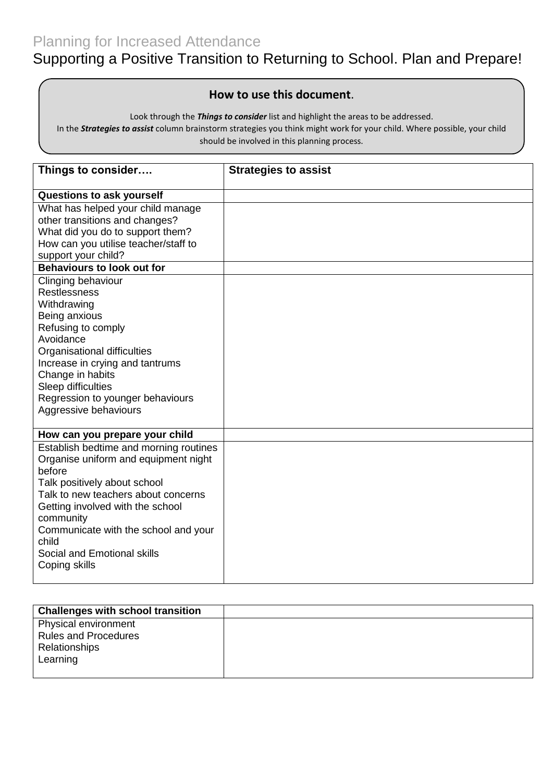## Planning for Increased Attendance

# Supporting a Positive Transition to Returning to School. Plan and Prepare!

#### **How to use this document**.

Look through the *Things to consider* list and highlight the areas to be addressed.

In the *Strategies to assist* column brainstorm strategies you think might work for your child. Where possible, your child should be involved in this planning process.

| Things to consider                     | <b>Strategies to assist</b> |
|----------------------------------------|-----------------------------|
| Questions to ask yourself              |                             |
| What has helped your child manage      |                             |
| other transitions and changes?         |                             |
| What did you do to support them?       |                             |
| How can you utilise teacher/staff to   |                             |
| support your child?                    |                             |
| <b>Behaviours to look out for</b>      |                             |
| Clinging behaviour                     |                             |
| <b>Restlessness</b>                    |                             |
| Withdrawing                            |                             |
| Being anxious                          |                             |
| Refusing to comply                     |                             |
| Avoidance                              |                             |
| Organisational difficulties            |                             |
| Increase in crying and tantrums        |                             |
| Change in habits                       |                             |
| Sleep difficulties                     |                             |
| Regression to younger behaviours       |                             |
| Aggressive behaviours                  |                             |
|                                        |                             |
| How can you prepare your child         |                             |
| Establish bedtime and morning routines |                             |
| Organise uniform and equipment night   |                             |
| before                                 |                             |
| Talk positively about school           |                             |
| Talk to new teachers about concerns    |                             |
| Getting involved with the school       |                             |
| community                              |                             |
| Communicate with the school and your   |                             |
| child                                  |                             |
| Social and Emotional skills            |                             |
| Coping skills                          |                             |
|                                        |                             |

| <b>Challenges with school transition</b> |  |
|------------------------------------------|--|
| Physical environment                     |  |
| <b>Rules and Procedures</b>              |  |
| Relationships                            |  |
| Learning                                 |  |
|                                          |  |
|                                          |  |